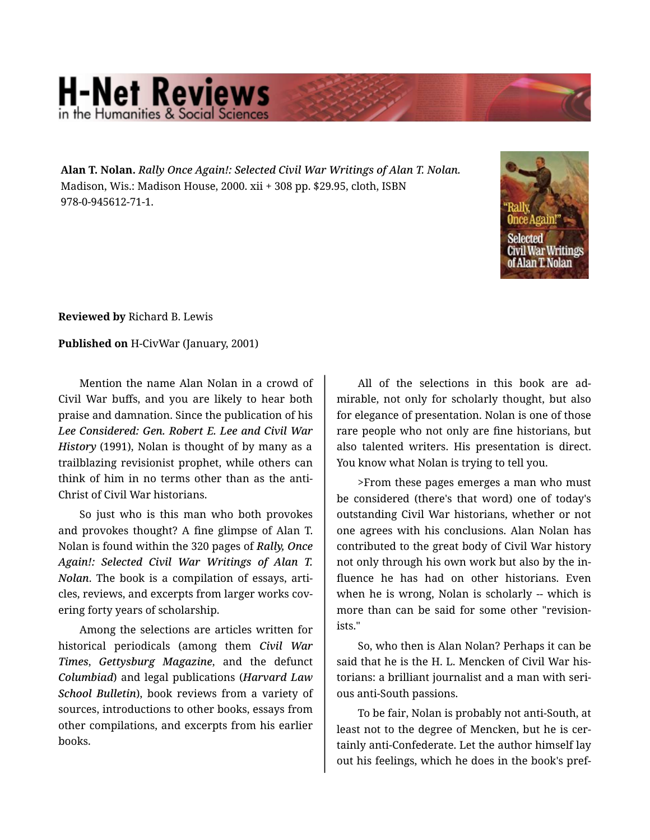## **H-Net Reviews**

**Alan T. Nolan.** *Rally Once Again!: Selected Civil War Writings of Alan T. Nolan.*  Madison, Wis.: Madison House, 2000. xii + 308 pp. \$29.95, cloth, ISBN 978-0-945612-71-1.



**Reviewed by** Richard B. Lewis

**Published on** H-CivWar (January, 2001)

Mention the name Alan Nolan in a crowd of Civil War buffs, and you are likely to hear both praise and damnation. Since the publication of his *Lee Considered: Gen. Robert E. Lee and Civil War History* (1991), Nolan is thought of by many as a trailblazing revisionist prophet, while others can think of him in no terms other than as the anti-Christ of Civil War historians.

So just who is this man who both provokes and provokes thought? A fine glimpse of Alan T. Nolan is found within the 320 pages of *Rally, Once Again!: Selected Civil War Writings of Alan T. Nolan*. The book is a compilation of essays, arti‐ cles, reviews, and excerpts from larger works cov‐ ering forty years of scholarship.

Among the selections are articles written for historical periodicals (among them *Civil War Times*, *Gettysburg Magazine*, and the defunct *Columbiad*) and legal publications (*Harvard Law School Bulletin*), book reviews from a variety of sources, introductions to other books, essays from other compilations, and excerpts from his earlier books.

All of the selections in this book are ad‐ mirable, not only for scholarly thought, but also for elegance of presentation. Nolan is one of those rare people who not only are fine historians, but also talented writers. His presentation is direct. You know what Nolan is trying to tell you.

>From these pages emerges a man who must be considered (there's that word) one of today's outstanding Civil War historians, whether or not one agrees with his conclusions. Alan Nolan has contributed to the great body of Civil War history not only through his own work but also by the in‐ fluence he has had on other historians. Even when he is wrong, Nolan is scholarly -- which is more than can be said for some other "revision‐ ists."

So, who then is Alan Nolan? Perhaps it can be said that he is the H. L. Mencken of Civil War his‐ torians: a brilliant journalist and a man with seri‐ ous anti-South passions.

To be fair, Nolan is probably not anti-South, at least not to the degree of Mencken, but he is certainly anti-Confederate. Let the author himself lay out his feelings, which he does in the book's pref‐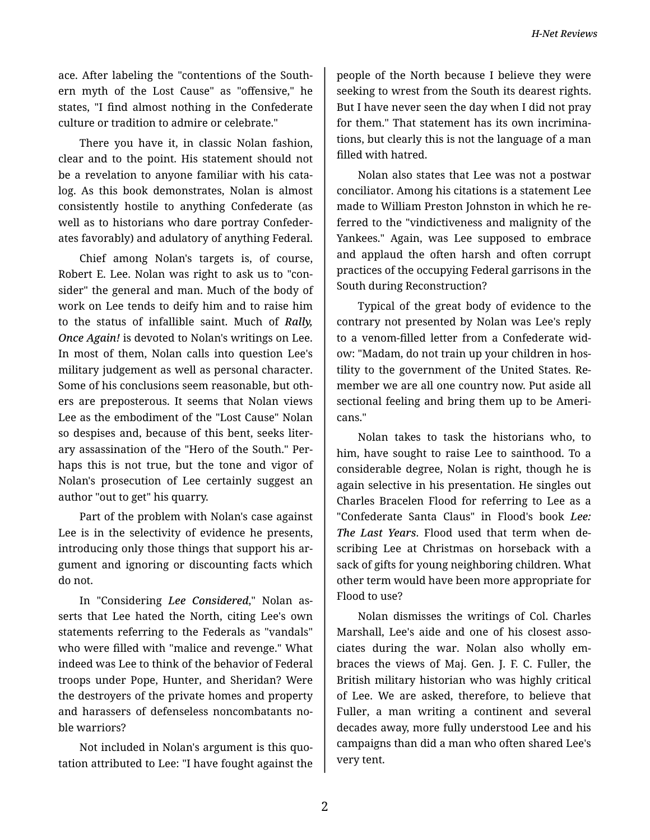ace. After labeling the "contentions of the South‐ ern myth of the Lost Cause" as "offensive," he states, "I find almost nothing in the Confederate culture or tradition to admire or celebrate."

There you have it, in classic Nolan fashion, clear and to the point. His statement should not be a revelation to anyone familiar with his catalog. As this book demonstrates, Nolan is almost consistently hostile to anything Confederate (as well as to historians who dare portray Confeder‐ ates favorably) and adulatory of anything Federal.

Chief among Nolan's targets is, of course, Robert E. Lee. Nolan was right to ask us to "con‐ sider" the general and man. Much of the body of work on Lee tends to deify him and to raise him to the status of infallible saint. Much of *Rally, Once Again!* is devoted to Nolan's writings on Lee. In most of them, Nolan calls into question Lee's military judgement as well as personal character. Some of his conclusions seem reasonable, but oth‐ ers are preposterous. It seems that Nolan views Lee as the embodiment of the "Lost Cause" Nolan so despises and, because of this bent, seeks liter‐ ary assassination of the "Hero of the South." Per‐ haps this is not true, but the tone and vigor of Nolan's prosecution of Lee certainly suggest an author "out to get" his quarry.

Part of the problem with Nolan's case against Lee is in the selectivity of evidence he presents, introducing only those things that support his argument and ignoring or discounting facts which do not.

In "Considering *Lee Considered*," Nolan as‐ serts that Lee hated the North, citing Lee's own statements referring to the Federals as "vandals" who were filled with "malice and revenge." What indeed was Lee to think of the behavior of Federal troops under Pope, Hunter, and Sheridan? Were the destroyers of the private homes and property and harassers of defenseless noncombatants no‐ ble warriors?

Not included in Nolan's argument is this quo‐ tation attributed to Lee: "I have fought against the people of the North because I believe they were seeking to wrest from the South its dearest rights. But I have never seen the day when I did not pray for them." That statement has its own incrimina‐ tions, but clearly this is not the language of a man filled with hatred.

Nolan also states that Lee was not a postwar conciliator. Among his citations is a statement Lee made to William Preston Johnston in which he re‐ ferred to the "vindictiveness and malignity of the Yankees." Again, was Lee supposed to embrace and applaud the often harsh and often corrupt practices of the occupying Federal garrisons in the South during Reconstruction?

Typical of the great body of evidence to the contrary not presented by Nolan was Lee's reply to a venom-filled letter from a Confederate wid‐ ow: "Madam, do not train up your children in hos‐ tility to the government of the United States. Re‐ member we are all one country now. Put aside all sectional feeling and bring them up to be Ameri‐ cans."

Nolan takes to task the historians who, to him, have sought to raise Lee to sainthood. To a considerable degree, Nolan is right, though he is again selective in his presentation. He singles out Charles Bracelen Flood for referring to Lee as a "Confederate Santa Claus" in Flood's book *Lee: The Last Years*. Flood used that term when de‐ scribing Lee at Christmas on horseback with a sack of gifts for young neighboring children. What other term would have been more appropriate for Flood to use?

Nolan dismisses the writings of Col. Charles Marshall, Lee's aide and one of his closest asso‐ ciates during the war. Nolan also wholly em‐ braces the views of Maj. Gen. J. F. C. Fuller, the British military historian who was highly critical of Lee. We are asked, therefore, to believe that Fuller, a man writing a continent and several decades away, more fully understood Lee and his campaigns than did a man who often shared Lee's very tent.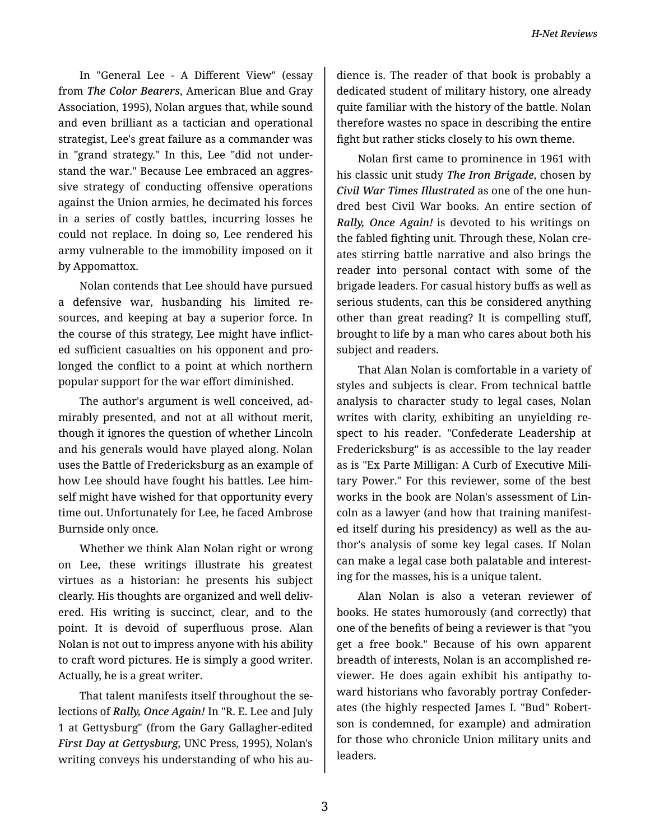In "General Lee - A Different View" (essay from *The Color Bearers*, American Blue and Gray Association, 1995), Nolan argues that, while sound and even brilliant as a tactician and operational strategist, Lee's great failure as a commander was in "grand strategy." In this, Lee "did not under‐ stand the war." Because Lee embraced an aggres‐ sive strategy of conducting offensive operations against the Union armies, he decimated his forces in a series of costly battles, incurring losses he could not replace. In doing so, Lee rendered his army vulnerable to the immobility imposed on it by Appomattox.

Nolan contends that Lee should have pursued a defensive war, husbanding his limited re‐ sources, and keeping at bay a superior force. In the course of this strategy, Lee might have inflict‐ ed sufficient casualties on his opponent and pro‐ longed the conflict to a point at which northern popular support for the war effort diminished.

The author's argument is well conceived, ad‐ mirably presented, and not at all without merit, though it ignores the question of whether Lincoln and his generals would have played along. Nolan uses the Battle of Fredericksburg as an example of how Lee should have fought his battles. Lee him‐ self might have wished for that opportunity every time out. Unfortunately for Lee, he faced Ambrose Burnside only once.

Whether we think Alan Nolan right or wrong on Lee, these writings illustrate his greatest virtues as a historian: he presents his subject clearly. His thoughts are organized and well deliv‐ ered. His writing is succinct, clear, and to the point. It is devoid of superfluous prose. Alan Nolan is not out to impress anyone with his ability to craft word pictures. He is simply a good writer. Actually, he is a great writer.

That talent manifests itself throughout the se‐ lections of *Rally, Once Again!* In "R. E. Lee and July 1 at Gettysburg" (from the Gary Gallagher-edited *First Day at Gettysburg,* UNC Press, 1995), Nolan's writing conveys his understanding of who his au-

dience is. The reader of that book is probably a dedicated student of military history, one already quite familiar with the history of the battle. Nolan therefore wastes no space in describing the entire fight but rather sticks closely to his own theme.

Nolan first came to prominence in 1961 with his classic unit study *The Iron Brigade*, chosen by *Civil War Times Illustrated* as one of the one hun‐ dred best Civil War books. An entire section of *Rally, Once Again!* is devoted to his writings on the fabled fighting unit. Through these, Nolan cre‐ ates stirring battle narrative and also brings the reader into personal contact with some of the brigade leaders. For casual history buffs as well as serious students, can this be considered anything other than great reading? It is compelling stuff, brought to life by a man who cares about both his subject and readers.

That Alan Nolan is comfortable in a variety of styles and subjects is clear. From technical battle analysis to character study to legal cases, Nolan writes with clarity, exhibiting an unyielding re‐ spect to his reader. "Confederate Leadership at Fredericksburg" is as accessible to the lay reader as is "Ex Parte Milligan: A Curb of Executive Mili‐ tary Power." For this reviewer, some of the best works in the book are Nolan's assessment of Lin‐ coln as a lawyer (and how that training manifest‐ ed itself during his presidency) as well as the au‐ thor's analysis of some key legal cases. If Nolan can make a legal case both palatable and interest‐ ing for the masses, his is a unique talent.

Alan Nolan is also a veteran reviewer of books. He states humorously (and correctly) that one of the benefits of being a reviewer is that "you get a free book." Because of his own apparent breadth of interests, Nolan is an accomplished re‐ viewer. He does again exhibit his antipathy to‐ ward historians who favorably portray Confeder‐ ates (the highly respected James I. "Bud" Robert‐ son is condemned, for example) and admiration for those who chronicle Union military units and leaders.